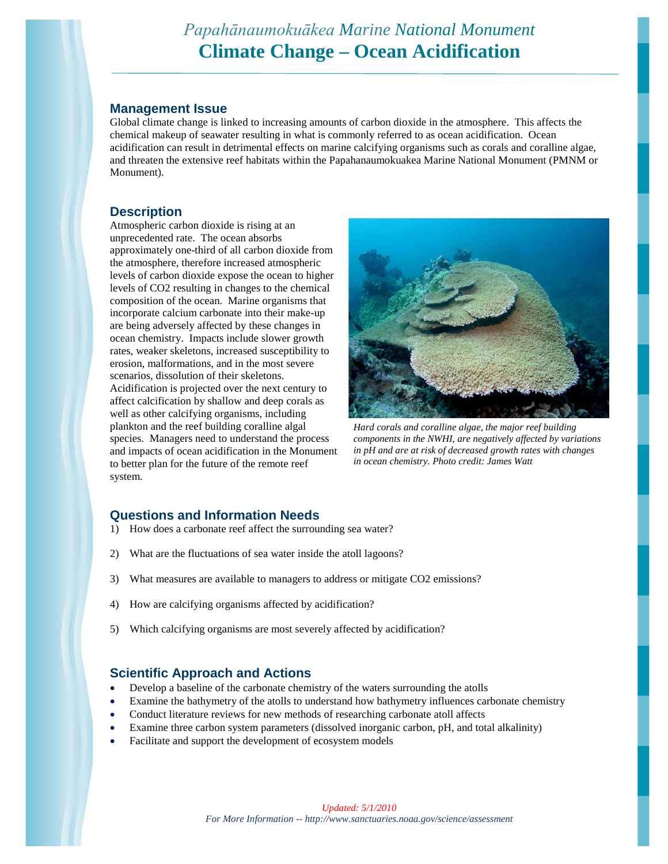# *Papahānaumokuākea Marine National Monument* **Climate Change – Ocean Acidification**

#### **Management Issue**

Global climate change is linked to increasing amounts of carbon dioxide in the atmosphere. This affects the chemical makeup of seawater resulting in what is commonly referred to as ocean acidification. Ocean acidification can result in detrimental effects on marine calcifying organisms such as corals and coralline algae, and threaten the extensive reef habitats within the Papahanaumokuakea Marine National Monument (PMNM or Monument).

### **Description**

Atmospheric carbon dioxide is rising at an unprecedented rate. The ocean absorbs approximately one-third of all carbon dioxide from the atmosphere, therefore increased atmospheric levels of carbon dioxide expose the ocean to higher levels of CO2 resulting in changes to the chemical composition of the ocean. Marine organisms that incorporate calcium carbonate into their make-up are being adversely affected by these changes in ocean chemistry. Impacts include slower growth rates, weaker skeletons, increased susceptibility to erosion, malformations, and in the most severe scenarios, dissolution of their skeletons. Acidification is projected over the next century to affect calcification by shallow and deep corals as well as other calcifying organisms, including plankton and the reef building coralline algal species. Managers need to understand the process and impacts of ocean acidification in the Monument to better plan for the future of the remote reef system.



*Hard corals and coralline algae, the major reef building components in the NWHI, are negatively affected by variations in pH and are at risk of decreased growth rates with changes in ocean chemistry. Photo credit: James Watt*

# **Questions and Information Needs**

- 1) How does a carbonate reef affect the surrounding sea water?
- 2) What are the fluctuations of sea water inside the atoll lagoons?
- 3) What measures are available to managers to address or mitigate CO2 emissions?
- 4) How are calcifying organisms affected by acidification?
- 5) Which calcifying organisms are most severely affected by acidification?

## **Scientific Approach and Actions**

- Develop a baseline of the carbonate chemistry of the waters surrounding the atolls
- Examine the bathymetry of the atolls to understand how bathymetry influences carbonate chemistry
- Conduct literature reviews for new methods of researching carbonate atoll affects
- Examine three carbon system parameters (dissolved inorganic carbon, pH, and total alkalinity)
- Facilitate and support the development of ecosystem models